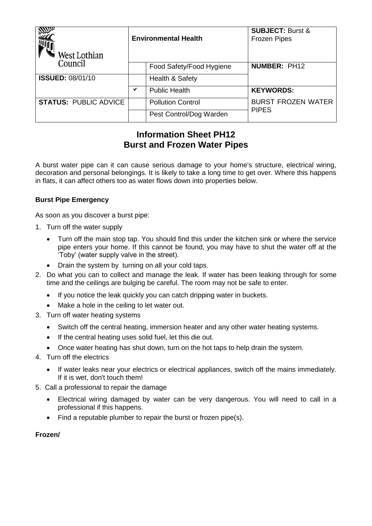| West Lothian                 | <b>Environmental Health</b> |                          | <b>SUBJECT: Burst &amp;</b><br><b>Frozen Pipes</b> |
|------------------------------|-----------------------------|--------------------------|----------------------------------------------------|
| Council                      |                             | Food Safety/Food Hygiene | <b>NUMBER: PH12</b>                                |
| <b>ISSUED: 08/01/10</b>      |                             | Health & Safety          |                                                    |
|                              | ✔                           | <b>Public Health</b>     | <b>KEYWORDS:</b>                                   |
| <b>STATUS: PUBLIC ADVICE</b> |                             | <b>Pollution Control</b> | <b>BURST FROZEN WATER</b><br><b>PIPES</b>          |
|                              |                             | Pest Control/Dog Warden  |                                                    |

# **Information Sheet PH12 Burst and Frozen Water Pipes**

A burst water pipe can it can cause serious damage to your home's structure, electrical wiring, decoration and personal belongings. It is likely to take a long time to get over. Where this happens in flats, it can affect others too as water flows down into properties below.

# **Burst Pipe Emergency**

As soon as you discover a burst pipe:

- 1. Turn off the water supply
	- Turn off the main stop tap. You should find this under the kitchen sink or where the service pipe enters your home. If this cannot be found, you may have to shut the water off at the 'Toby' (water supply valve in the street).
	- Drain the system by turning on all your cold taps.
- 2. Do what you can to collect and manage the leak. If water has been leaking through for some time and the ceilings are bulging be careful. The room may not be safe to enter.
	- If you notice the leak quickly you can catch dripping water in buckets.
	- Make a hole in the ceiling to let water out.
- 3. Turn off water heating systems
	- Switch off the central heating, immersion heater and any other water heating systems.
	- If the central heating uses solid fuel, let this die out.
	- Once water heating has shut down, turn on the hot taps to help drain the system.
- 4. Turn off the electrics
	- If water leaks near your electrics or electrical appliances, switch off the mains immediately. If it is wet, don't touch them!
- 5. Call a professional to repair the damage
	- Electrical wiring damaged by water can be very dangerous. You will need to call in a professional if this happens.
	- Find a reputable plumber to repair the burst or frozen pipe(s).

## **Frozen/**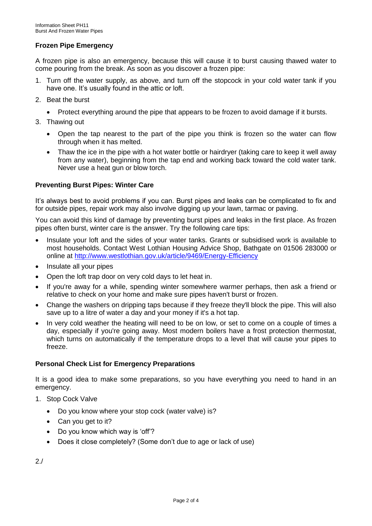# **Frozen Pipe Emergency**

A frozen pipe is also an emergency, because this will cause it to burst causing thawed water to come pouring from the break. As soon as you discover a frozen pipe:

- 1. Turn off the water supply, as above, and turn off the stopcock in your cold water tank if you have one. It's usually found in the attic or loft.
- 2. Beat the burst
	- Protect everything around the pipe that appears to be frozen to avoid damage if it bursts.
- 3. Thawing out
	- Open the tap nearest to the part of the pipe you think is frozen so the water can flow through when it has melted.
	- Thaw the ice in the pipe with a hot water bottle or hairdryer (taking care to keep it well away from any water), beginning from the tap end and working back toward the cold water tank. Never use a heat gun or blow torch.

#### **Preventing Burst Pipes: Winter Care**

It's always best to avoid problems if you can. Burst pipes and leaks can be complicated to fix and for outside pipes, repair work may also involve digging up your lawn, tarmac or paving.

You can avoid this kind of damage by preventing burst pipes and leaks in the first place. As frozen pipes often burst, winter care is the answer. Try the following care tips:

- Insulate your loft and the sides of your water tanks. Grants or subsidised work is available to most households. Contact West Lothian Housing Advice Shop, Bathgate on 01506 283000 or online at<http://www.westlothian.gov.uk/article/9469/Energy-Efficiency>
- Insulate all your pipes
- Open the loft trap door on very cold days to let heat in.
- If you're away for a while, spending winter somewhere warmer perhaps, then ask a friend or relative to check on your home and make sure pipes haven't burst or frozen.
- Change the washers on dripping taps because if they freeze they'll block the pipe. This will also save up to a litre of water a day and your money if it's a hot tap.
- In very cold weather the heating will need to be on low, or set to come on a couple of times a day, especially if you're going away. Most modern boilers have a frost protection thermostat, which turns on automatically if the temperature drops to a level that will cause your pipes to freeze.

## **Personal Check List for Emergency Preparations**

It is a good idea to make some preparations, so you have everything you need to hand in an emergency.

- 1. Stop Cock Valve
	- Do you know where your stop cock (water valve) is?
	- Can you get to it?
	- Do you know which way is 'off'?
	- Does it close completely? (Some don't due to age or lack of use)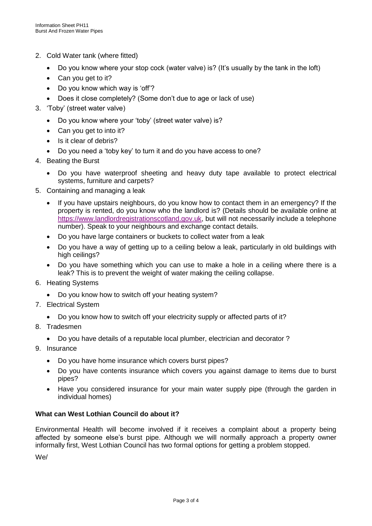- 2. Cold Water tank (where fitted)
	- Do you know where your stop cock (water valve) is? (It's usually by the tank in the loft)
	- Can you get to it?
	- Do you know which way is 'off'?
	- Does it close completely? (Some don't due to age or lack of use)
- 3. 'Toby' (street water valve)
	- Do you know where your 'toby' (street water valve) is?
	- Can you get to into it?
	- Is it clear of debris?
	- Do you need a 'toby key' to turn it and do you have access to one?
- 4. Beating the Burst
	- Do you have waterproof sheeting and heavy duty tape available to protect electrical systems, furniture and carpets?
- 5. Containing and managing a leak
	- If you have upstairs neighbours, do you know how to contact them in an emergency? If the property is rented, do you know who the landlord is? (Details should be available online at [https://www.landlordregistrationscotland.gov.uk,](https://www.landlordregistrationscotland.gov.uk/) but will not necessarily include a telephone number). Speak to your neighbours and exchange contact details.
	- Do you have large containers or buckets to collect water from a leak
	- Do you have a way of getting up to a ceiling below a leak, particularly in old buildings with high ceilings?
	- Do you have something which you can use to make a hole in a ceiling where there is a leak? This is to prevent the weight of water making the ceiling collapse.
- 6. Heating Systems
	- Do you know how to switch off your heating system?
- 7. Electrical System
	- Do you know how to switch off your electricity supply or affected parts of it?
- 8. Tradesmen
	- Do you have details of a reputable local plumber, electrician and decorator ?
- 9. Insurance
	- Do you have home insurance which covers burst pipes?
	- Do you have contents insurance which covers you against damage to items due to burst pipes?
	- Have you considered insurance for your main water supply pipe (through the garden in individual homes)

## **What can West Lothian Council do about it?**

Environmental Health will become involved if it receives a complaint about a property being affected by someone else's burst pipe. Although we will normally approach a property owner informally first, West Lothian Council has two formal options for getting a problem stopped.

We/